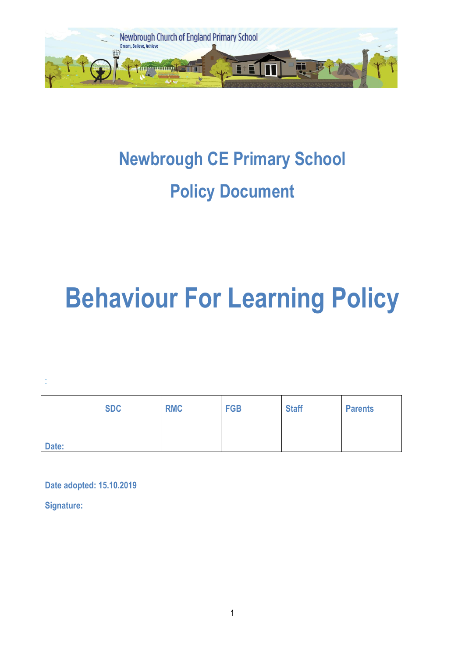

# **Newbrough CE Primary School Policy Document**

# **Behaviour For Learning Policy**

:

|       | <b>SDC</b> | <b>RMC</b> | <b>FGB</b> | <b>Staff</b> | <b>Parents</b> |
|-------|------------|------------|------------|--------------|----------------|
| Date: |            |            |            |              |                |

**Date adopted: 15.10.2019** 

**Signature:**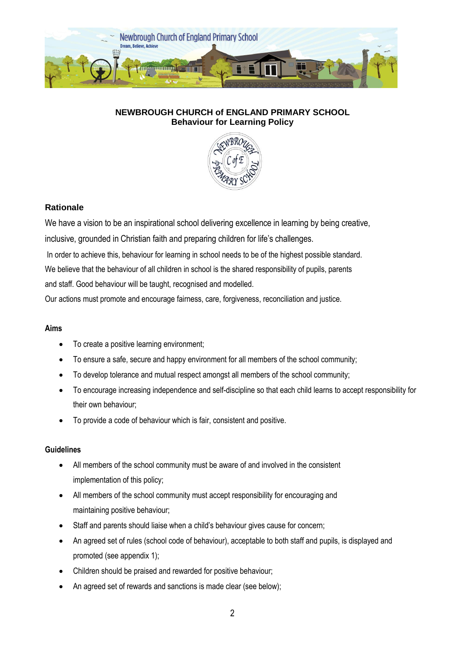

# **NEWBROUGH CHURCH of ENGLAND PRIMARY SCHOOL Behaviour for Learning Policy**



# **Rationale**

We have a vision to be an inspirational school delivering excellence in learning by being creative,

inclusive, grounded in Christian faith and preparing children for life's challenges.

In order to achieve this, behaviour for learning in school needs to be of the highest possible standard.

We believe that the behaviour of all children in school is the shared responsibility of pupils, parents

and staff. Good behaviour will be taught, recognised and modelled.

Our actions must promote and encourage fairness, care, forgiveness, reconciliation and justice.

# **Aims**

- To create a positive learning environment;
- To ensure a safe, secure and happy environment for all members of the school community;
- To develop tolerance and mutual respect amongst all members of the school community;
- To encourage increasing independence and self-discipline so that each child learns to accept responsibility for their own behaviour;
- To provide a code of behaviour which is fair, consistent and positive.

# **Guidelines**

- All members of the school community must be aware of and involved in the consistent implementation of this policy;
- All members of the school community must accept responsibility for encouraging and maintaining positive behaviour;
- Staff and parents should liaise when a child's behaviour gives cause for concern;
- An agreed set of rules (school code of behaviour), acceptable to both staff and pupils, is displayed and promoted (see appendix 1);
- Children should be praised and rewarded for positive behaviour;
- An agreed set of rewards and sanctions is made clear (see below);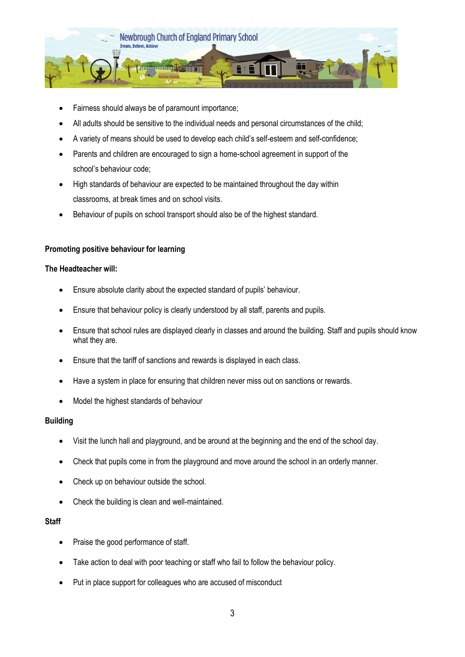

- Fairness should always be of paramount importance;
- All adults should be sensitive to the individual needs and personal circumstances of the child;
- A variety of means should be used to develop each child's self-esteem and self-confidence;
- Parents and children are encouraged to sign a home-school agreement in support of the school's behaviour code;
- High standards of behaviour are expected to be maintained throughout the day within classrooms, at break times and on school visits.
- Behaviour of pupils on school transport should also be of the highest standard.

# **Promoting positive behaviour for learning**

#### **The Headteacher will:**

- Ensure absolute clarity about the expected standard of pupils' behaviour.
- Ensure that behaviour policy is clearly understood by all staff, parents and pupils.
- Ensure that school rules are displayed clearly in classes and around the building. Staff and pupils should know what they are.
- Ensure that the tariff of sanctions and rewards is displayed in each class.
- Have a system in place for ensuring that children never miss out on sanctions or rewards.
- Model the highest standards of behaviour

# **Building**

- Visit the lunch hall and playground, and be around at the beginning and the end of the school day.
- Check that pupils come in from the playground and move around the school in an orderly manner.
- Check up on behaviour outside the school.
- Check the building is clean and well-maintained.

# **Staff**

- Praise the good performance of staff.
- Take action to deal with poor teaching or staff who fail to follow the behaviour policy.
- Put in place support for colleagues who are accused of misconduct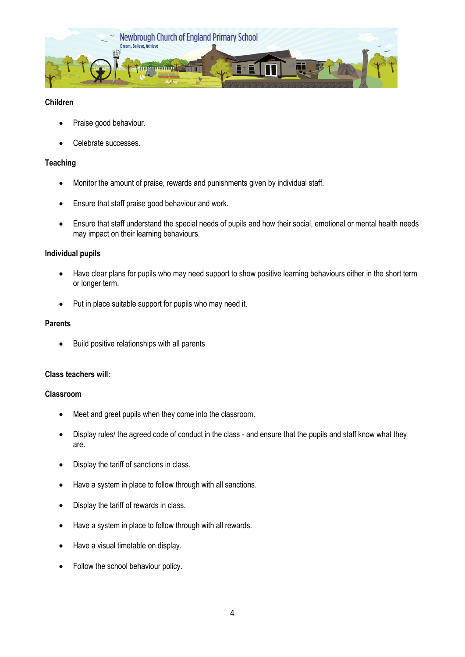

# **Children**

- Praise good behaviour.
- Celebrate successes.

#### **Teaching**

- Monitor the amount of praise, rewards and punishments given by individual staff.
- Ensure that staff praise good behaviour and work.
- Ensure that staff understand the special needs of pupils and how their social, emotional or mental health needs may impact on their learning behaviours.

#### **Individual pupils**

- Have clear plans for pupils who may need support to show positive learning behaviours either in the short term or longer term.
- Put in place suitable support for pupils who may need it.

#### **Parents**

• Build positive relationships with all parents

#### **Class teachers will:**

#### **Classroom**

- Meet and greet pupils when they come into the classroom.
- Display rules/ the agreed code of conduct in the class and ensure that the pupils and staff know what they are.
- Display the tariff of sanctions in class.
- Have a system in place to follow through with all sanctions.
- Display the tariff of rewards in class.
- Have a system in place to follow through with all rewards.
- Have a visual timetable on display.
- Follow the school behaviour policy.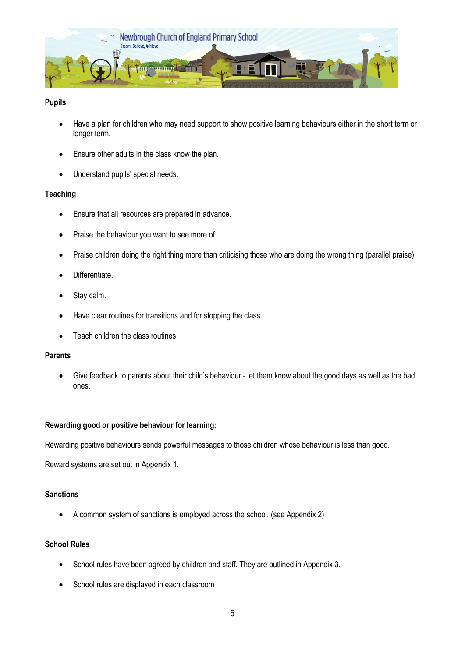

# **Pupils**

- Have a plan for children who may need support to show positive learning behaviours either in the short term or longer term.
- Ensure other adults in the class know the plan.
- Understand pupils' special needs.

#### **Teaching**

- Ensure that all resources are prepared in advance.
- Praise the behaviour you want to see more of.
- Praise children doing the right thing more than criticising those who are doing the wrong thing (parallel praise).
- Differentiate.
- Stay calm.
- Have clear routines for transitions and for stopping the class.
- Teach children the class routines.

#### **Parents**

 Give feedback to parents about their child's behaviour - let them know about the good days as well as the bad ones.

#### **Rewarding good or positive behaviour for learning:**

Rewarding positive behaviours sends powerful messages to those children whose behaviour is less than good.

Reward systems are set out in Appendix 1.

#### **Sanctions**

A common system of sanctions is employed across the school. (see Appendix 2)

# **School Rules**

- School rules have been agreed by children and staff. They are outlined in Appendix 3.
- School rules are displayed in each classroom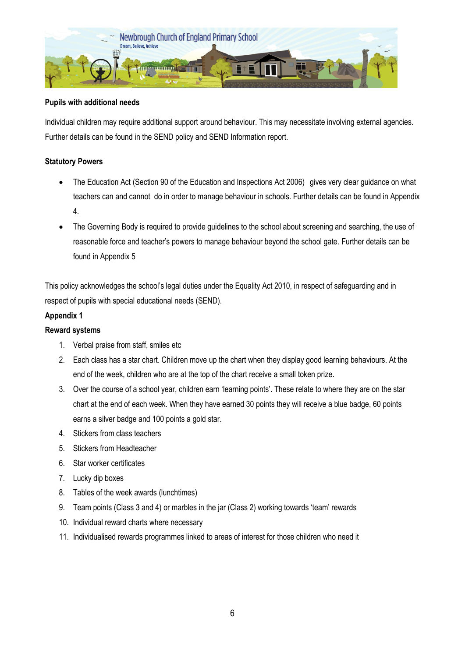

# **Pupils with additional needs**

Individual children may require additional support around behaviour. This may necessitate involving external agencies. Further details can be found in the SEND policy and SEND Information report.

# **Statutory Powers**

- The Education Act (Section 90 of the Education and Inspections Act 2006) gives very clear guidance on what teachers can and cannot do in order to manage behaviour in schools. Further details can be found in Appendix 4.
- The Governing Body is required to provide guidelines to the school about screening and searching, the use of reasonable force and teacher's powers to manage behaviour beyond the school gate. Further details can be found in Appendix 5

This policy acknowledges the school's legal duties under the Equality Act 2010, in respect of safeguarding and in respect of pupils with special educational needs (SEND).

# **Appendix 1**

# **Reward systems**

- 1. Verbal praise from staff, smiles etc
- 2. Each class has a star chart. Children move up the chart when they display good learning behaviours. At the end of the week, children who are at the top of the chart receive a small token prize.
- 3. Over the course of a school year, children earn 'learning points'. These relate to where they are on the star chart at the end of each week. When they have earned 30 points they will receive a blue badge, 60 points earns a silver badge and 100 points a gold star.
- 4. Stickers from class teachers
- 5. Stickers from Headteacher
- 6. Star worker certificates
- 7. Lucky dip boxes
- 8. Tables of the week awards (lunchtimes)
- 9. Team points (Class 3 and 4) or marbles in the jar (Class 2) working towards 'team' rewards
- 10. Individual reward charts where necessary
- 11. Individualised rewards programmes linked to areas of interest for those children who need it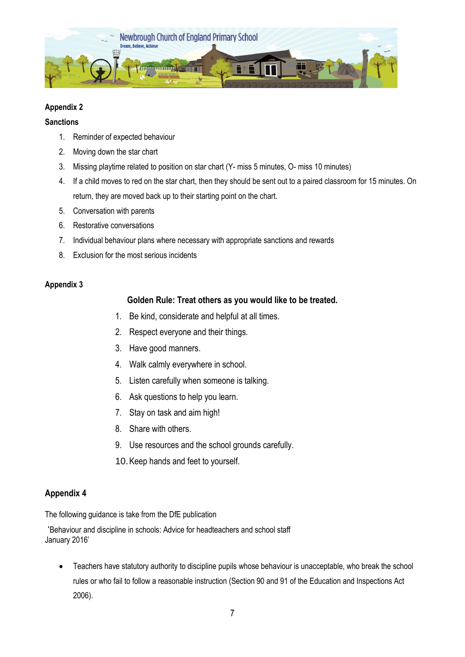

# **Appendix 2**

#### **Sanctions**

- 1. Reminder of expected behaviour
- 2. Moving down the star chart
- 3. Missing playtime related to position on star chart (Y- miss 5 minutes, O- miss 10 minutes)
- 4. If a child moves to red on the star chart, then they should be sent out to a paired classroom for 15 minutes. On return, they are moved back up to their starting point on the chart.
- 5. Conversation with parents
- 6. Restorative conversations
- 7. Individual behaviour plans where necessary with appropriate sanctions and rewards
- 8. Exclusion for the most serious incidents

# **Appendix 3**

# **Golden Rule: Treat others as you would like to be treated.**

- 1. Be kind, considerate and helpful at all times.
- 2. Respect everyone and their things.
- 3. Have good manners.
- 4. Walk calmly everywhere in school.
- 5. Listen carefully when someone is talking.
- 6. Ask questions to help you learn.
- 7. Stay on task and aim high!
- 8. Share with others.
- 9. Use resources and the school grounds carefully.
- 10.Keep hands and feet to yourself.

# **Appendix 4**

The following guidance is take from the DfE publication

'Behaviour and discipline in schools: Advice for headteachers and school staff January 2016'

 Teachers have statutory authority to discipline pupils whose behaviour is unacceptable, who break the school rules or who fail to follow a reasonable instruction (Section 90 and 91 of the Education and Inspections Act 2006).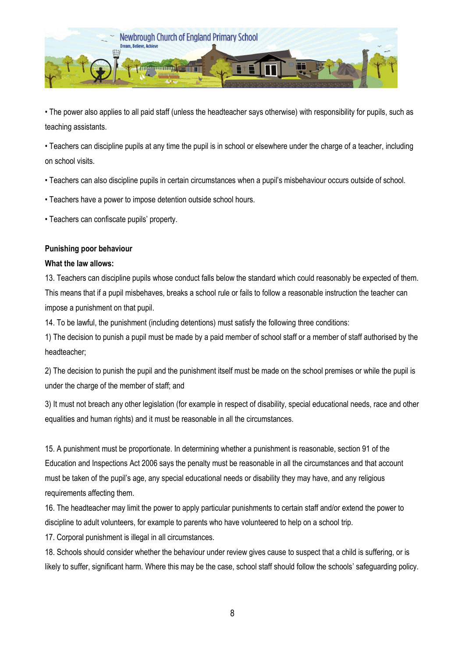

• The power also applies to all paid staff (unless the headteacher says otherwise) with responsibility for pupils, such as teaching assistants.

• Teachers can discipline pupils at any time the pupil is in school or elsewhere under the charge of a teacher, including on school visits.

• Teachers can also discipline pupils in certain circumstances when a pupil's misbehaviour occurs outside of school.

• Teachers have a power to impose detention outside school hours.

• Teachers can confiscate pupils' property.

# **Punishing poor behaviour**

#### **What the law allows:**

13. Teachers can discipline pupils whose conduct falls below the standard which could reasonably be expected of them. This means that if a pupil misbehaves, breaks a school rule or fails to follow a reasonable instruction the teacher can impose a punishment on that pupil.

14. To be lawful, the punishment (including detentions) must satisfy the following three conditions:

1) The decision to punish a pupil must be made by a paid member of school staff or a member of staff authorised by the headteacher;

2) The decision to punish the pupil and the punishment itself must be made on the school premises or while the pupil is under the charge of the member of staff; and

3) It must not breach any other legislation (for example in respect of disability, special educational needs, race and other equalities and human rights) and it must be reasonable in all the circumstances.

15. A punishment must be proportionate. In determining whether a punishment is reasonable, section 91 of the Education and Inspections Act 2006 says the penalty must be reasonable in all the circumstances and that account must be taken of the pupil's age, any special educational needs or disability they may have, and any religious requirements affecting them.

16. The headteacher may limit the power to apply particular punishments to certain staff and/or extend the power to discipline to adult volunteers, for example to parents who have volunteered to help on a school trip.

17. Corporal punishment is illegal in all circumstances.

18. Schools should consider whether the behaviour under review gives cause to suspect that a child is suffering, or is likely to suffer, significant harm. Where this may be the case, school staff should follow the schools' safeguarding policy.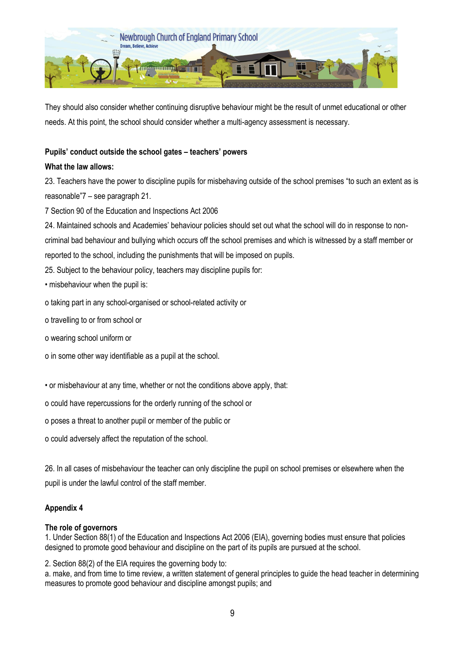

They should also consider whether continuing disruptive behaviour might be the result of unmet educational or other needs. At this point, the school should consider whether a multi-agency assessment is necessary.

# **Pupils' conduct outside the school gates – teachers' powers**

# **What the law allows:**

23. Teachers have the power to discipline pupils for misbehaving outside of the school premises "to such an extent as is reasonable"7 – see paragraph 21.

7 Section 90 of the Education and Inspections Act 2006

24. Maintained schools and Academies' behaviour policies should set out what the school will do in response to noncriminal bad behaviour and bullying which occurs off the school premises and which is witnessed by a staff member or reported to the school, including the punishments that will be imposed on pupils.

25. Subject to the behaviour policy, teachers may discipline pupils for:

• misbehaviour when the pupil is:

o taking part in any school-organised or school-related activity or

o travelling to or from school or

o wearing school uniform or

o in some other way identifiable as a pupil at the school.

• or misbehaviour at any time, whether or not the conditions above apply, that:

o could have repercussions for the orderly running of the school or

o poses a threat to another pupil or member of the public or

o could adversely affect the reputation of the school.

26. In all cases of misbehaviour the teacher can only discipline the pupil on school premises or elsewhere when the pupil is under the lawful control of the staff member.

# **Appendix 4**

# **The role of governors**

1. Under Section 88(1) of the Education and Inspections Act 2006 (EIA), governing bodies must ensure that policies designed to promote good behaviour and discipline on the part of its pupils are pursued at the school.

2. Section 88(2) of the EIA requires the governing body to:

a. make, and from time to time review, a written statement of general principles to guide the head teacher in determining measures to promote good behaviour and discipline amongst pupils; and